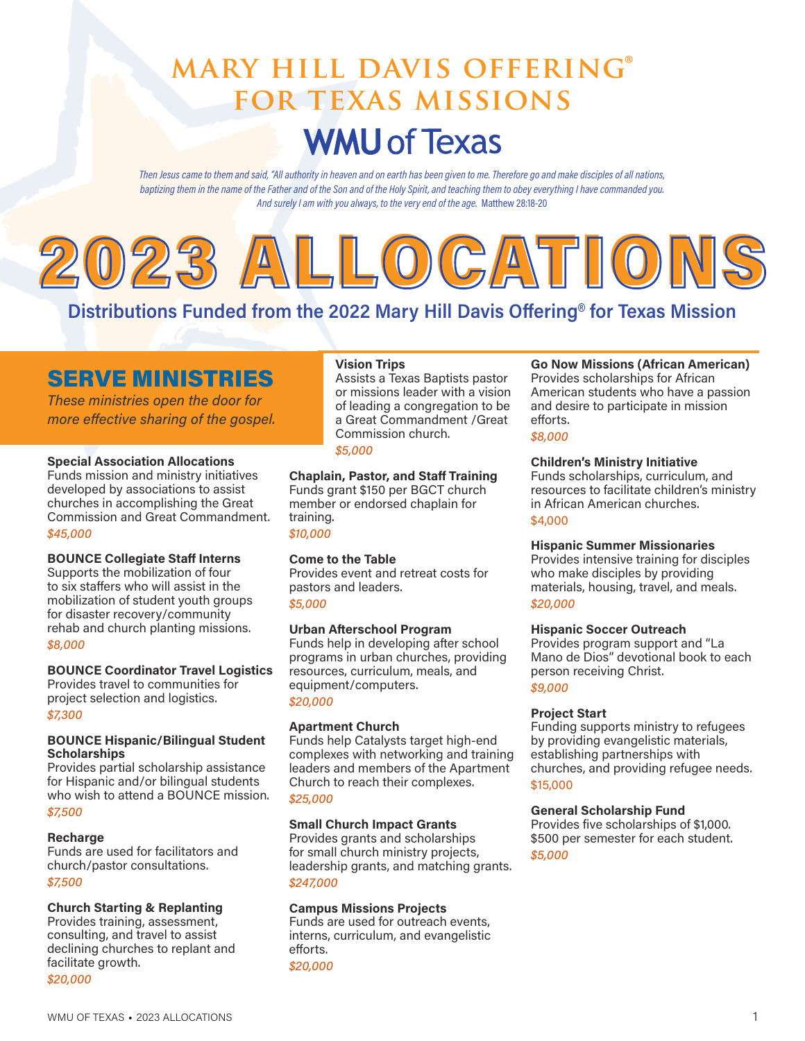# **mary hill davis offering® for texas missions WMU of Texas**

Then Jesus came to them and said, "All authority in heaven and on earth has been given to me. Therefore go and make disciples of all nations, baptizing them in the name of the Father and of the Son and of the Holy Spirit, and teaching them to obey everything I have commanded you. And surely I am with you always, to the very end of the age. Matthew 28:18-20



# Distributions Funded from the 2022 Mary Hill Davis Offering**®** for Texas Mission

# SERVE MINISTRIES

These ministries open the door for more effective sharing of the gospel.

#### Special Association Allocations

Funds mission and ministry initiatives developed by associations to assist churches in accomplishing the Great Commission and Great Commandment. \$45,000

#### BOUNCE Collegiate Staff Interns

Supports the mobilization of four to six staffers who will assist in the mobilization of student youth groups for disaster recovery/community rehab and church planting missions. \$8,000

#### BOUNCE Coordinator Travel Logistics

Provides travel to communities for project selection and logistics. \$7,300

#### BOUNCE Hispanic/Bilingual Student **Scholarships**

Provides partial scholarship assistance for Hispanic and/or bilingual students who wish to attend a BOUNCE mission. \$7,500

#### **Recharge**

Funds are used for facilitators and church/pastor consultations. \$7,500

#### Church Starting & Replanting

Provides training, assessment, consulting, and travel to assist declining churches to replant and facilitate growth. \$20,000

### Vision Trips

Assists a Texas Baptists pastor or missions leader with a vision of leading a congregation to be a Great Commandment /Great Commission church. \$5,000

#### Chaplain, Pastor, and Staff Training

Funds grant \$150 per BGCT church member or endorsed chaplain for training.

\$10,000

#### Come to the Table

Provides event and retreat costs for pastors and leaders. \$5,000

#### Urban Afterschool Program

Funds help in developing after school programs in urban churches, providing resources, curriculum, meals, and equipment/computers. \$20,000

#### Apartment Church

Funds help Catalysts target high-end complexes with networking and training leaders and members of the Apartment Church to reach their complexes. \$25,000

#### Small Church Impact Grants

Provides grants and scholarships for small church ministry projects, leadership grants, and matching grants. \$247,000

#### Campus Missions Projects

Funds are used for outreach events, interns, curriculum, and evangelistic efforts. \$20,000

#### Go Now Missions (African American)

Provides scholarships for African American students who have a passion and desire to participate in mission efforts.

#### \$8,000

#### Children's Ministry Initiative

Funds scholarships, curriculum, and resources to facilitate children's ministry in African American churches. \$4,000

#### Hispanic Summer Missionaries

Provides intensive training for disciples who make disciples by providing materials, housing, travel, and meals. \$20,000

#### Hispanic Soccer Outreach

Provides program support and "La Mano de Dios" devotional book to each person receiving Christ. \$9,000

#### Project Start

Funding supports ministry to refugees by providing evangelistic materials, establishing partnerships with churches, and providing refugee needs. \$15,000

#### General Scholarship Fund

Provides five scholarships of \$1,000. \$500 per semester for each student. \$5,000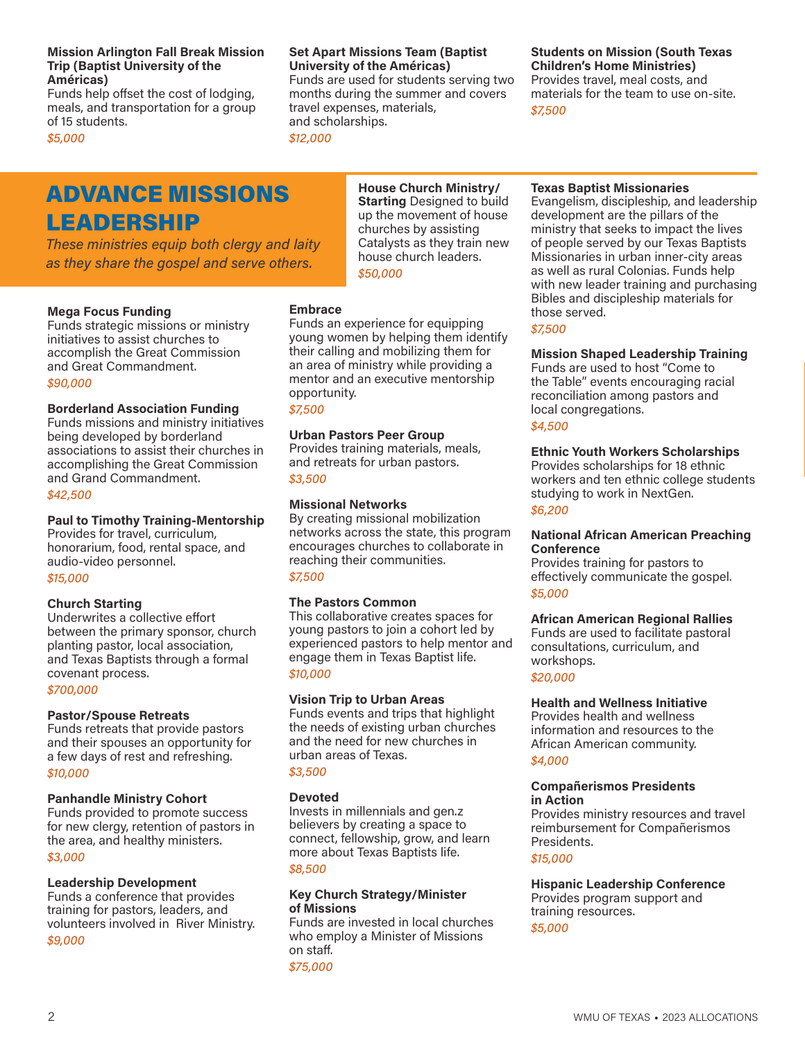#### Mission Arlington Fall Break Mission Trip (Baptist University of the Américas)

Funds help offset the cost of lodging, meals, and transportation for a group of 15 students.

\$5,000

# ADVANCE MISSIONS LEADERSHIP

These ministries equip both clergy and laity as they share the gospel and serve others.

#### Mega Focus Funding

Funds strategic missions or ministry initiatives to assist churches to accomplish the Great Commission and Great Commandment. \$90,000

#### Borderland Association Funding

Funds missions and ministry initiatives being developed by borderland associations to assist their churches in accomplishing the Great Commission and Grand Commandment.

\$42,500

#### Paul to Timothy Training-Mentorship

Provides for travel, curriculum, honorarium, food, rental space, and audio-video personnel. \$15,000

#### Church Starting

Underwrites a collective effort between the primary sponsor, church planting pastor, local association, and Texas Baptists through a formal covenant process.

#### \$700,000

#### Pastor/Spouse Retreats

Funds retreats that provide pastors and their spouses an opportunity for a few days of rest and refreshing. \$10,000

#### Panhandle Ministry Cohort

Funds provided to promote success for new clergy, retention of pastors in the area, and healthy ministers. \$3,000

#### Leadership Development

Funds a conference that provides training for pastors, leaders, and volunteers involved in River Ministry.

\$9,000

#### Set Apart Missions Team (Baptist University of the Américas)

\$50,000

Funds an experience for equipping young women by helping them identify their calling and mobilizing them for an area of ministry while providing a mentor and an executive mentorship

Urban Pastors Peer Group Provides training materials, meals, and retreats for urban pastors.

By creating missional mobilization networks across the state, this program encourages churches to collaborate in

This collaborative creates spaces for young pastors to join a cohort led by experienced pastors to help mentor and engage them in Texas Baptist life.

Funds events and trips that highlight the needs of existing urban churches and the need for new churches in

reaching their communities.

Vision Trip to Urban Areas

Invests in millennials and gen.z believers by creating a space to connect, fellowship, grow, and learn more about Texas Baptists life.

Key Church Strategy/Minister

Funds are invested in local churches who employ a Minister of Missions

urban areas of Texas.

Missional Networks

The Pastors Common

Funds are used for students serving two months during the summer and covers travel expenses, materials, and scholarships. \$12,000

> House Church Ministry/ **Starting Designed to build** up the movement of house churches by assisting Catalysts as they train new house church leaders.

**Embrace** 

opportunity. \$7,500

\$3,500

\$7,500

\$10,000

\$3,500

\$8,500

of Missions

on staff. \$75,000

Devoted

#### Students on Mission (South Texas Children's Home Ministries)

Provides travel, meal costs, and materials for the team to use on-site. \$7,500

## Texas Baptist Missionaries

Evangelism, discipleship, and leadership development are the pillars of the ministry that seeks to impact the lives of people served by our Texas Baptists Missionaries in urban inner-city areas as well as rural Colonias. Funds help with new leader training and purchasing Bibles and discipleship materials for those served.

\$7,500

#### Mission Shaped Leadership Training

Funds are used to host "Come to the Table" events encouraging racial reconciliation among pastors and local congregations.

#### \$4,500

#### Ethnic Youth Workers Scholarships

Provides scholarships for 18 ethnic workers and ten ethnic college students studying to work in NextGen.

#### \$6,200

#### National African American Preaching Conference

Provides training for pastors to effectively communicate the gospel. \$5,000

#### African American Regional Rallies

Funds are used to facilitate pastoral consultations, curriculum, and workshops. \$20,000

#### Health and Wellness Initiative

Provides health and wellness information and resources to the African American community. \$4,000

#### Compañerismos Presidents in Action

Provides ministry resources and travel reimbursement for Compañerismos Presidents.

#### \$15,000

Hispanic Leadership Conference Provides program support and training resources.

\$5,000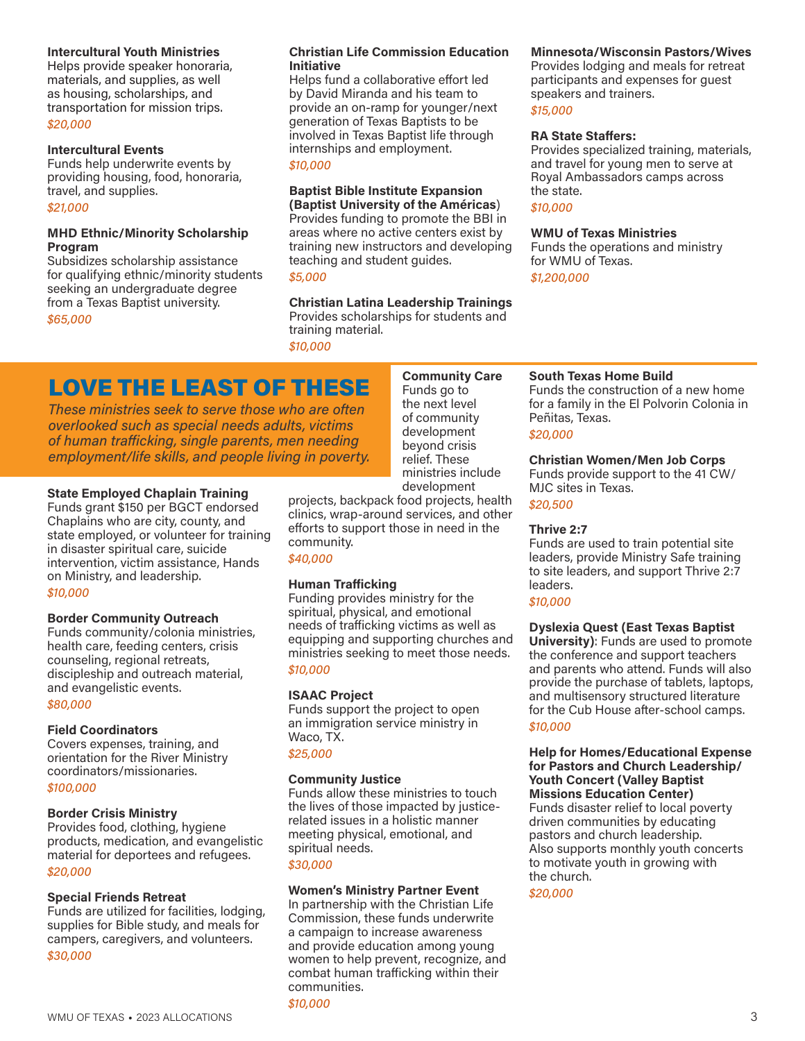#### Intercultural Youth Ministries

Helps provide speaker honoraria, materials, and supplies, as well as housing, scholarships, and transportation for mission trips. \$20,000

#### Intercultural Events

Funds help underwrite events by providing housing, food, honoraria, travel, and supplies.

#### \$21,000

#### MHD Ethnic/Minority Scholarship Program

Subsidizes scholarship assistance for qualifying ethnic/minority students seeking an undergraduate degree from a Texas Baptist university. \$65,000

#### Christian Life Commission Education Initiative

Helps fund a collaborative effort led by David Miranda and his team to provide an on-ramp for younger/next generation of Texas Baptists to be involved in Texas Baptist life through internships and employment. \$10,000

### Baptist Bible Institute Expansion

(Baptist University of the Américas) Provides funding to promote the BBI in areas where no active centers exist by training new instructors and developing teaching and student guides. \$5,000

Christian Latina Leadership Trainings Provides scholarships for students and training material. \$10,000

LOVE THE LEAST OF THESE

These ministries seek to serve those who are often overlooked such as special needs adults, victims of human trafficking, single parents, men needing employment/life skills, and people living in poverty.

#### State Employed Chaplain Training

Funds grant \$150 per BGCT endorsed Chaplains who are city, county, and state employed, or volunteer for training in disaster spiritual care, suicide intervention, victim assistance, Hands on Ministry, and leadership.

#### \$10,000

#### Border Community Outreach

Funds community/colonia ministries, health care, feeding centers, crisis counseling, regional retreats, discipleship and outreach material, and evangelistic events.

#### \$80,000

#### Field Coordinators

Covers expenses, training, and orientation for the River Ministry coordinators/missionaries.

#### \$100,000

#### Border Crisis Ministry

Provides food, clothing, hygiene products, medication, and evangelistic material for deportees and refugees. \$20,000

#### Special Friends Retreat

Funds are utilized for facilities, lodging, supplies for Bible study, and meals for campers, caregivers, and volunteers. \$30,000

Community Care Funds go to the next level of community development beyond crisis relief. These ministries include development

projects, backpack food projects, health clinics, wrap-around services, and other efforts to support those in need in the community.

#### \$40,000

#### Human Trafficking

Funding provides ministry for the spiritual, physical, and emotional needs of trafficking victims as well as equipping and supporting churches and ministries seeking to meet those needs. \$10,000

#### ISAAC Project

Funds support the project to open an immigration service ministry in Waco, TX. \$25,000

# Community Justice

Funds allow these ministries to touch the lives of those impacted by justicerelated issues in a holistic manner meeting physical, emotional, and spiritual needs.

#### \$30,000

#### Women's Ministry Partner Event

In partnership with the Christian Life Commission, these funds underwrite a campaign to increase awareness and provide education among young women to help prevent, recognize, and combat human trafficking within their communities.

#### Minnesota/Wisconsin Pastors/Wives

Provides lodging and meals for retreat participants and expenses for guest speakers and trainers. \$15,000

#### RA State Staffers:

Provides specialized training, materials, and travel for young men to serve at Royal Ambassadors camps across the state.

#### \$10,000

#### WMU of Texas Ministries

Funds the operations and ministry for WMU of Texas.

\$1,200,000

#### South Texas Home Build

Funds the construction of a new home for a family in the El Polvorin Colonia in Peñitas, Texas.

#### \$20,000

#### Christian Women/Men Job Corps

Funds provide support to the 41 CW/ MJC sites in Texas.

\$20,500

#### Thrive 2:7

Funds are used to train potential site leaders, provide Ministry Safe training to site leaders, and support Thrive 2:7 leaders.

#### \$10,000

#### Dyslexia Quest (East Texas Baptist

University): Funds are used to promote the conference and support teachers and parents who attend. Funds will also provide the purchase of tablets, laptops, and multisensory structured literature for the Cub House after-school camps. \$10,000

#### Help for Homes/Educational Expense for Pastors and Church Leadership/ Youth Concert (Valley Baptist Missions Education Center) Funds disaster relief to local poverty

driven communities by educating pastors and church leadership. Also supports monthly youth concerts to motivate youth in growing with the church.

\$20,000